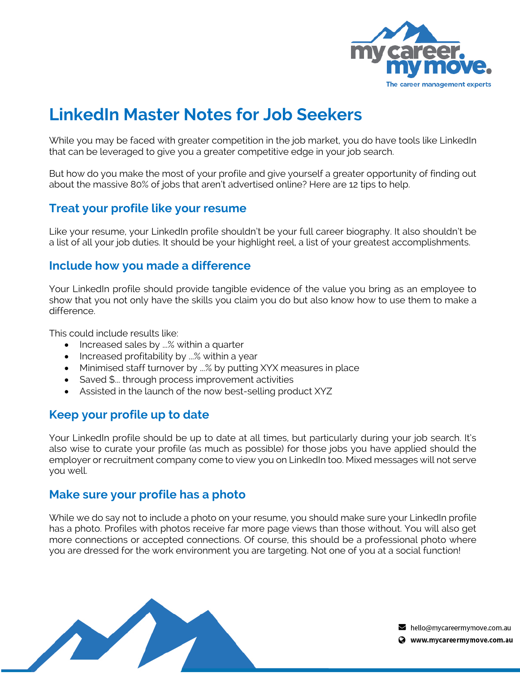

# **LinkedIn Master Notes for Job Seekers**

While you may be faced with greater competition in the job market, you do have tools like LinkedIn that can be leveraged to give you a greater competitive edge in your job search.

But how do you make the most of your profile and give yourself a greater opportunity of finding out about the massive 80% of jobs that aren't advertised online? Here are 12 tips to help.

#### **Treat your profile like your resume**

Like your resume, your LinkedIn profile shouldn't be your full career biography. It also shouldn't be a list of all your job duties. It should be your highlight reel, a list of your greatest accomplishments.

#### **Include how you made a difference**

Your LinkedIn profile should provide tangible evidence of the value you bring as an employee to show that you not only have the skills you claim you do but also know how to use them to make a difference.

This could include results like:

- Increased sales by ...% within a quarter
- Increased profitability by ...% within a year
- Minimised staff turnover by ...% by putting XYX measures in place
- Saved \$... through process improvement activities
- Assisted in the launch of the now best-selling product XYZ

## **Keep your profile up to date**

Your LinkedIn profile should be up to date at all times, but particularly during your job search. It's also wise to curate your profile (as much as possible) for those jobs you have applied should the employer or recruitment company come to view you on LinkedIn too. Mixed messages will not serve you well.

## **Make sure your profile has a photo**

While we do say not to include a photo on your resume, you should make sure your LinkedIn profile has a photo. Profiles with photos receive far more page views than those without. You will also get more connections or accepted connections. Of course, this should be a professional photo where you are dressed for the work environment you are targeting. Not one of you at a social function!

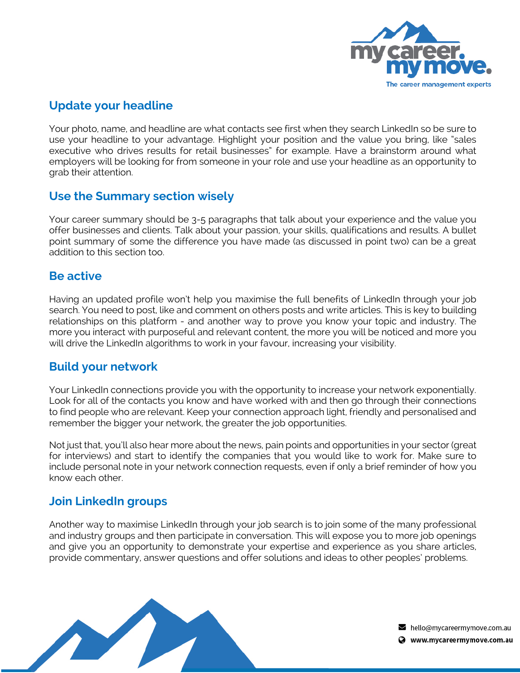

## **Update your headline**

Your photo, name, and headline are what contacts see first when they search LinkedIn so be sure to use your headline to your advantage. Highlight your position and the value you bring, like "sales executive who drives results for retail businesses" for example. Have a brainstorm around what employers will be looking for from someone in your role and use your headline as an opportunity to grab their attention.

#### **Use the Summary section wisely**

Your career summary should be 3-5 paragraphs that talk about your experience and the value you offer businesses and clients. Talk about your passion, your skills, qualifications and results. A bullet point summary of some the difference you have made (as discussed in point two) can be a great addition to this section too.

#### **Be active**

Having an updated profile won't help you maximise the full benefits of LinkedIn through your job search. You need to post, like and comment on others posts and write articles. This is key to building relationships on this platform - and another way to prove you know your topic and industry. The more you interact with purposeful and relevant content, the more you will be noticed and more you will drive the LinkedIn algorithms to work in your favour, increasing your visibility.

#### **Build your network**

Your LinkedIn connections provide you with the opportunity to increase your network exponentially. Look for all of the contacts you know and have worked with and then go through their connections to find people who are relevant. Keep your connection approach light, friendly and personalised and remember the bigger your network, the greater the job opportunities.

Not just that, you'll also hear more about the news, pain points and opportunities in your sector (great for interviews) and start to identify the companies that you would like to work for. Make sure to include personal note in your network connection requests, even if only a brief reminder of how you know each other.

## **Join LinkedIn groups**

Another way to maximise LinkedIn through your job search is to join some of the many professional and industry groups and then participate in conversation. This will expose you to more job openings and give you an opportunity to demonstrate your expertise and experience as you share articles, provide commentary, answer questions and offer solutions and ideas to other peoples' problems.



 $\blacktriangleright$  hello@mycareermymove.com.au Www.mycareermymove.com.au